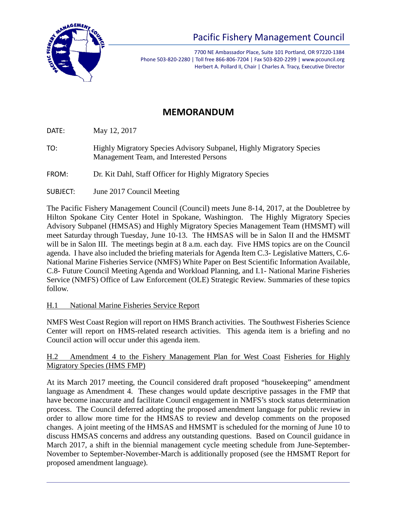

# Pacific Fishery Management Council

7700 NE Ambassador Place, Suite 101 Portland, OR 97220-1384 Phone 503-820-2280 | Toll free 866-806-7204 | Fax 503-820-2299 | www.pcouncil.org Herbert A. Pollard II, Chair | Charles A. Tracy, Executive Director

## **MEMORANDUM**

DATE: May 12, 2017

TO: Highly Migratory Species Advisory Subpanel, Highly Migratory Species Management Team, and Interested Persons

FROM: Dr. Kit Dahl, Staff Officer for Highly Migratory Species

SUBJECT: June 2017 Council Meeting

The Pacific Fishery Management Council (Council) meets June 8-14, 2017, at the Doubletree by Hilton Spokane City Center Hotel in Spokane, Washington. The Highly Migratory Species Advisory Subpanel (HMSAS) and Highly Migratory Species Management Team (HMSMT) will meet Saturday through Tuesday, June 10-13. The HMSAS will be in Salon II and the HMSMT will be in Salon III. The meetings begin at 8 a.m. each day. Five HMS topics are on the Council agenda. I have also included the briefing materials for Agenda Item C.3- Legislative Matters, C.6- National Marine Fisheries Service (NMFS) White Paper on Best Scientific Information Available, C.8- Future Council Meeting Agenda and Workload Planning, and I.1- National Marine Fisheries Service (NMFS) Office of Law Enforcement (OLE) Strategic Review. Summaries of these topics follow.

#### H.1 National Marine Fisheries Service Report

NMFS West Coast Region will report on HMS Branch activities. The Southwest Fisheries Science Center will report on HMS-related research activities. This agenda item is a briefing and no Council action will occur under this agenda item.

#### H.2 Amendment 4 to the Fishery Management Plan for West Coast Fisheries for Highly Migratory Species (HMS FMP)

At its March 2017 meeting, the Council considered draft proposed "housekeeping" amendment language as Amendment 4. These changes would update descriptive passages in the FMP that have become inaccurate and facilitate Council engagement in NMFS's stock status determination process. The Council deferred adopting the proposed amendment language for public review in order to allow more time for the HMSAS to review and develop comments on the proposed changes. A joint meeting of the HMSAS and HMSMT is scheduled for the morning of June 10 to discuss HMSAS concerns and address any outstanding questions. Based on Council guidance in March 2017, a shift in the biennial management cycle meeting schedule from June-September-November to September-November-March is additionally proposed (see the HMSMT Report for proposed amendment language).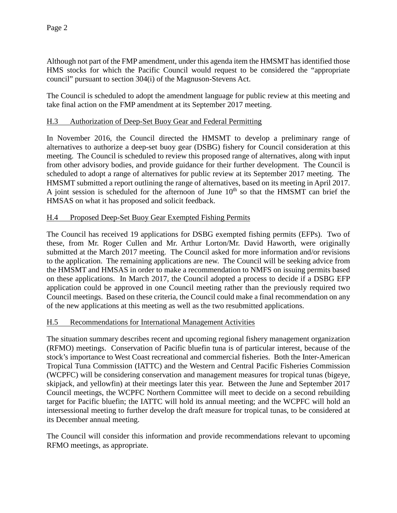Although not part of the FMP amendment, under this agenda item the HMSMT has identified those HMS stocks for which the Pacific Council would request to be considered the "appropriate council" pursuant to section 304(i) of the Magnuson-Stevens Act.

The Council is scheduled to adopt the amendment language for public review at this meeting and take final action on the FMP amendment at its September 2017 meeting.

#### H.3 Authorization of Deep-Set Buoy Gear and Federal Permitting

In November 2016, the Council directed the HMSMT to develop a preliminary range of alternatives to authorize a deep-set buoy gear (DSBG) fishery for Council consideration at this meeting. The Council is scheduled to review this proposed range of alternatives, along with input from other advisory bodies, and provide guidance for their further development. The Council is scheduled to adopt a range of alternatives for public review at its September 2017 meeting. The HMSMT submitted a report outlining the range of alternatives, based on its meeting in April 2017. A joint session is scheduled for the afternoon of June  $10<sup>th</sup>$  so that the HMSMT can brief the HMSAS on what it has proposed and solicit feedback.

#### H.4 Proposed Deep-Set Buoy Gear Exempted Fishing Permits

The Council has received 19 applications for DSBG exempted fishing permits (EFPs). Two of these, from Mr. Roger Cullen and Mr. Arthur Lorton/Mr. David Haworth, were originally submitted at the March 2017 meeting. The Council asked for more information and/or revisions to the application. The remaining applications are new. The Council will be seeking advice from the HMSMT and HMSAS in order to make a recommendation to NMFS on issuing permits based on these applications. In March 2017, the Council adopted a process to decide if a DSBG EFP application could be approved in one Council meeting rather than the previously required two Council meetings. Based on these criteria, the Council could make a final recommendation on any of the new applications at this meeting as well as the two resubmitted applications.

#### H.5 Recommendations for International Management Activities

The situation summary describes recent and upcoming regional fishery management organization (RFMO) meetings. Conservation of Pacific bluefin tuna is of particular interest, because of the stock's importance to West Coast recreational and commercial fisheries. Both the Inter-American Tropical Tuna Commission (IATTC) and the Western and Central Pacific Fisheries Commission (WCPFC) will be considering conservation and management measures for tropical tunas (bigeye, skipjack, and yellowfin) at their meetings later this year. Between the June and September 2017 Council meetings, the WCPFC Northern Committee will meet to decide on a second rebuilding target for Pacific bluefin; the IATTC will hold its annual meeting; and the WCPFC will hold an intersessional meeting to further develop the draft measure for tropical tunas, to be considered at its December annual meeting.

The Council will consider this information and provide recommendations relevant to upcoming RFMO meetings, as appropriate.